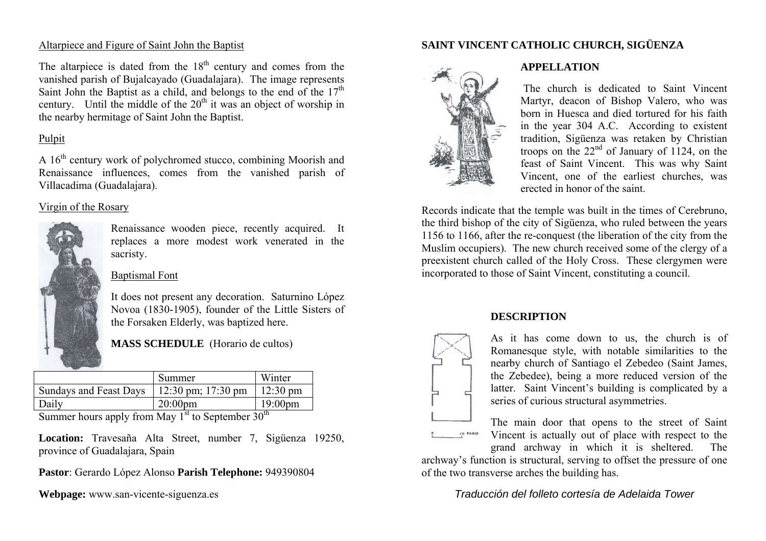## Altarpiece and Figure of Saint John the Baptist

The altarpiece is dated from the  $18<sup>th</sup>$  century and comes from the vanished parish of Bujalcayado (Guadalajara). The image represents Saint John the Baptist as a child, and belongs to the end of the  $17<sup>th</sup>$ century. Until the middle of the  $20<sup>th</sup>$  it was an object of worship in the nearby hermitage of Saint John the Baptist.

# Pulpit

A  $16<sup>th</sup>$  century work of polychromed stucco, combining Moorish and Renaissance influences, comes from the vanished parish of Villacadima (Guadalajara).

## Virgin of the Rosary



Renaissance wooden piece, recently acquired. It replaces a more modest work venerated in the sacristy.

## Baptismal Font

It does not present any decoration. Saturnino L όpez Novoa (1830-1905), founder of the Little Sisters of the Forsaken Elderly, was baptized here.

# **MASS SCHEDULE** (Horario de cultos)

|                        | Summer             | Winter             |
|------------------------|--------------------|--------------------|
| Sundays and Feast Days | 12:30 pm; 17:30 pm | $12:30 \text{ pm}$ |
| Daily                  | $20:00$ pm         | $19:00 \text{pm}$  |

Summer hours apply from May  $1<sup>st</sup>$  to September  $30<sup>th</sup>$ 

**Location:** Travesaña Alta Street, number 7, Sigüenza 19250, province of Guadalajara, Spain

**Pastor**: Gerardo L όpez Alonso **Parish Telephone:** 949390804

**Webpage:** www.san-vicente-siguenza.es

# **SAINT VINCENT CATHOLIC CHURCH, SIGÜENZA**



## **APPELLATION**

 The church is dedicated to Saint Vincent Martyr, deacon of Bishop Valero, who was born in Huesca and died tortured for his faith in the year 304 A.C. According to existent tradition, Sigüenza was retaken by Christian troops on the  $22<sup>nd</sup>$  of January of 1124, on the feast of Saint Vincent. This was why Saint Vincent, one of the earliest churches, was erected in honor of the saint.

Records indicate that the temple was built in the times of Cerebruno, the third bishop of the city of Sigüenza, who ruled between the years 1156 to 1166, after the re-conquest (the liberation of the city from the Muslim occupiers). The new church received some of the clergy of a preexistent church called of the Holy Cross. These clergymen were incorporated to those of Saint Vincent, constituting a council.

# **DESCRIPTION**



As it has come down to us, the church is of Romanesque style, with notable similarities to the nearby church of Santiago el Zebedeo (Saint James, the Zebedee), being a more reduced version of the latter. Saint Vincent's building is complicated by a series of curious structural asymmetries.

The main door that opens to the street of Saint Vincent is actually out of place with respect to the grand archway in which it is sheltered. The

archway's function is structural, serving to offset the pressure of one of the two transverse arches the building has.

*Traducción del folleto cortesía de Adelaida Tower*